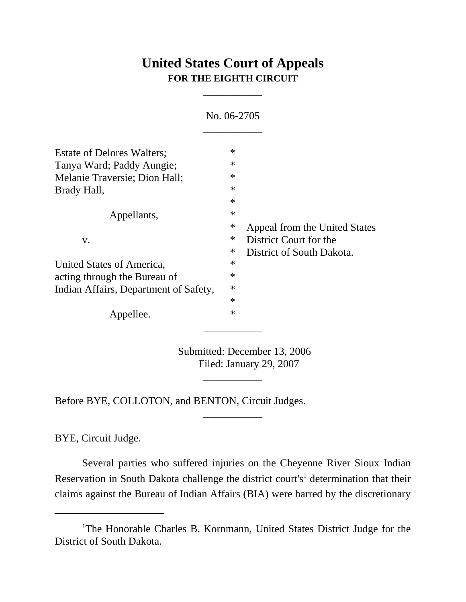## **United States Court of Appeals FOR THE EIGHTH CIRCUIT**

\_\_\_\_\_\_\_\_\_\_\_

|                                       | No. 06-2705 |                               |
|---------------------------------------|-------------|-------------------------------|
| <b>Estate of Delores Walters:</b>     | $\ast$      |                               |
| Tanya Ward; Paddy Aungie;             | $\ast$      |                               |
| Melanie Traversie; Dion Hall;         | $\ast$      |                               |
| Brady Hall,                           | $\ast$      |                               |
|                                       | $\ast$      |                               |
| Appellants,                           | $\ast$      |                               |
|                                       | $\ast$      | Appeal from the United States |
| V.                                    | ∗           | District Court for the        |
|                                       | ∗           | District of South Dakota.     |
| United States of America,             | $\ast$      |                               |
| acting through the Bureau of          | $\ast$      |                               |
| Indian Affairs, Department of Safety, | $\ast$      |                               |
|                                       | $\ast$      |                               |
| Appellee.                             | $\ast$      |                               |

Submitted: December 13, 2006 Filed: January 29, 2007

\_\_\_\_\_\_\_\_\_\_\_

\_\_\_\_\_\_\_\_\_\_\_

Before BYE, COLLOTON, and BENTON, Circuit Judges.

BYE, Circuit Judge.

Several parties who suffered injuries on the Cheyenne River Sioux Indian Reservation in South Dakota challenge the district court's<sup>1</sup> determination that their claims against the Bureau of Indian Affairs (BIA) were barred by the discretionary

<sup>&</sup>lt;sup>1</sup>The Honorable Charles B. Kornmann, United States District Judge for the District of South Dakota.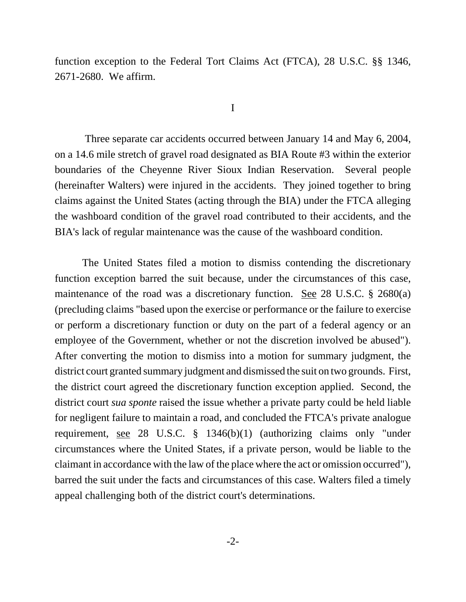function exception to the Federal Tort Claims Act (FTCA), 28 U.S.C. §§ 1346, 2671-2680. We affirm.

## I

 Three separate car accidents occurred between January 14 and May 6, 2004, on a 14.6 mile stretch of gravel road designated as BIA Route #3 within the exterior boundaries of the Cheyenne River Sioux Indian Reservation. Several people (hereinafter Walters) were injured in the accidents. They joined together to bring claims against the United States (acting through the BIA) under the FTCA alleging the washboard condition of the gravel road contributed to their accidents, and the BIA's lack of regular maintenance was the cause of the washboard condition.

The United States filed a motion to dismiss contending the discretionary function exception barred the suit because, under the circumstances of this case, maintenance of the road was a discretionary function. See 28 U.S.C. § 2680(a) (precluding claims "based upon the exercise or performance or the failure to exercise or perform a discretionary function or duty on the part of a federal agency or an employee of the Government, whether or not the discretion involved be abused"). After converting the motion to dismiss into a motion for summary judgment, the district court granted summary judgment and dismissed the suit on two grounds. First, the district court agreed the discretionary function exception applied. Second, the district court *sua sponte* raised the issue whether a private party could be held liable for negligent failure to maintain a road, and concluded the FTCA's private analogue requirement, see 28 U.S.C. § 1346(b)(1) (authorizing claims only "under circumstances where the United States, if a private person, would be liable to the claimant in accordance with the law of the place where the act or omission occurred"), barred the suit under the facts and circumstances of this case. Walters filed a timely appeal challenging both of the district court's determinations.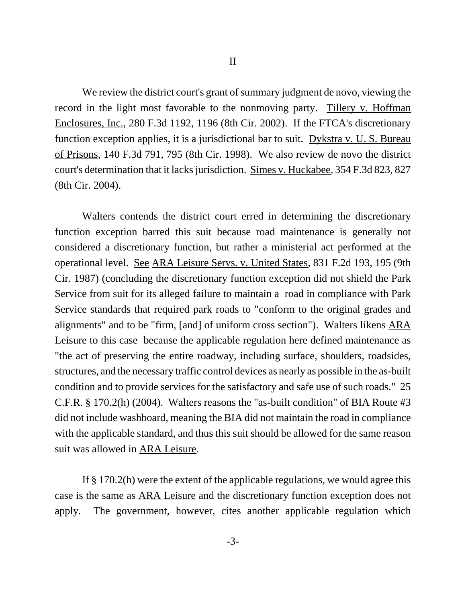We review the district court's grant of summary judgment de novo, viewing the record in the light most favorable to the nonmoving party. Tillery v. Hoffman Enclosures, Inc., 280 F.3d 1192, 1196 (8th Cir. 2002). If the FTCA's discretionary function exception applies, it is a jurisdictional bar to suit. Dykstra v. U. S. Bureau of Prisons, 140 F.3d 791, 795 (8th Cir. 1998). We also review de novo the district court's determination that it lacks jurisdiction. Simes v. Huckabee, 354 F.3d 823, 827 (8th Cir. 2004).

Walters contends the district court erred in determining the discretionary function exception barred this suit because road maintenance is generally not considered a discretionary function, but rather a ministerial act performed at the operational level. See ARA Leisure Servs. v. United States, 831 F.2d 193, 195 (9th Cir. 1987) (concluding the discretionary function exception did not shield the Park Service from suit for its alleged failure to maintain a road in compliance with Park Service standards that required park roads to "conform to the original grades and alignments" and to be "firm, [and] of uniform cross section"). Walters likens ARA Leisure to this case because the applicable regulation here defined maintenance as "the act of preserving the entire roadway, including surface, shoulders, roadsides, structures, and the necessary traffic control devices as nearly as possible in the as-built condition and to provide services for the satisfactory and safe use of such roads." 25 C.F.R. § 170.2(h) (2004). Walters reasons the "as-built condition" of BIA Route #3 did not include washboard, meaning the BIA did not maintain the road in compliance with the applicable standard, and thus this suit should be allowed for the same reason suit was allowed in ARA Leisure.

If § 170.2(h) were the extent of the applicable regulations, we would agree this case is the same as ARA Leisure and the discretionary function exception does not apply. The government, however, cites another applicable regulation which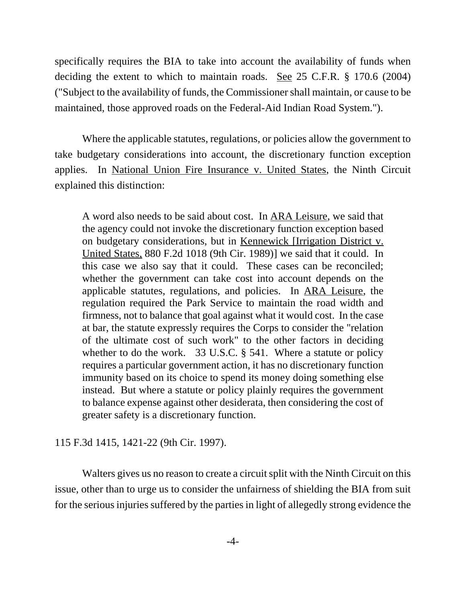specifically requires the BIA to take into account the availability of funds when deciding the extent to which to maintain roads. See 25 C.F.R. § 170.6 (2004) ("Subject to the availability of funds, the Commissioner shall maintain, or cause to be maintained, those approved roads on the Federal-Aid Indian Road System.").

Where the applicable statutes, regulations, or policies allow the government to take budgetary considerations into account, the discretionary function exception applies. In National Union Fire Insurance v. United States, the Ninth Circuit explained this distinction:

A word also needs to be said about cost. In ARA Leisure, we said that the agency could not invoke the discretionary function exception based on budgetary considerations, but in Kennewick [Irrigation District v. United States, 880 F.2d 1018 (9th Cir. 1989)] we said that it could. In this case we also say that it could. These cases can be reconciled; whether the government can take cost into account depends on the applicable statutes, regulations, and policies. In ARA Leisure, the regulation required the Park Service to maintain the road width and firmness, not to balance that goal against what it would cost. In the case at bar, the statute expressly requires the Corps to consider the "relation of the ultimate cost of such work" to the other factors in deciding whether to do the work. 33 U.S.C. § 541. Where a statute or policy requires a particular government action, it has no discretionary function immunity based on its choice to spend its money doing something else instead. But where a statute or policy plainly requires the government to balance expense against other desiderata, then considering the cost of greater safety is a discretionary function.

## 115 F.3d 1415, 1421-22 (9th Cir. 1997).

Walters gives us no reason to create a circuit split with the Ninth Circuit on this issue, other than to urge us to consider the unfairness of shielding the BIA from suit for the serious injuries suffered by the parties in light of allegedly strong evidence the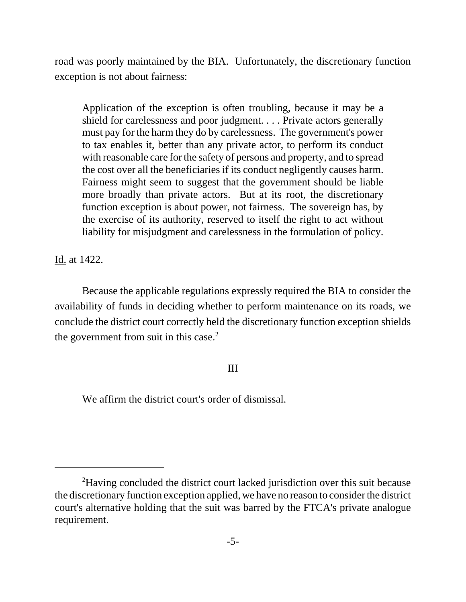road was poorly maintained by the BIA. Unfortunately, the discretionary function exception is not about fairness:

Application of the exception is often troubling, because it may be a shield for carelessness and poor judgment. . . . Private actors generally must pay for the harm they do by carelessness. The government's power to tax enables it, better than any private actor, to perform its conduct with reasonable care for the safety of persons and property, and to spread the cost over all the beneficiaries if its conduct negligently causes harm. Fairness might seem to suggest that the government should be liable more broadly than private actors. But at its root, the discretionary function exception is about power, not fairness. The sovereign has, by the exercise of its authority, reserved to itself the right to act without liability for misjudgment and carelessness in the formulation of policy.

Id. at 1422.

Because the applicable regulations expressly required the BIA to consider the availability of funds in deciding whether to perform maintenance on its roads, we conclude the district court correctly held the discretionary function exception shields the government from suit in this case. $<sup>2</sup>$ </sup>

## III

We affirm the district court's order of dismissal.

<sup>&</sup>lt;sup>2</sup>Having concluded the district court lacked jurisdiction over this suit because the discretionary function exception applied, we have no reason to consider the district court's alternative holding that the suit was barred by the FTCA's private analogue requirement.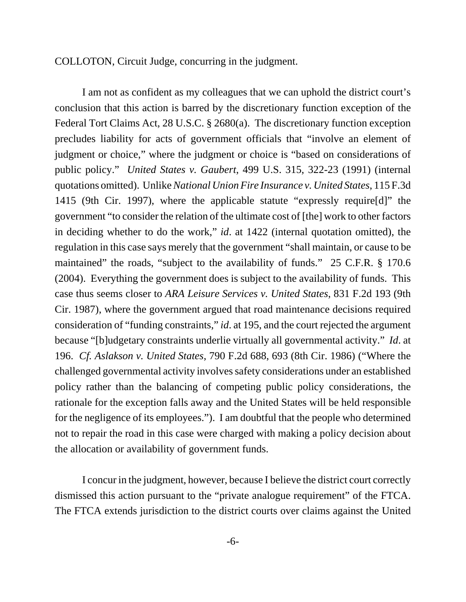COLLOTON, Circuit Judge, concurring in the judgment.

I am not as confident as my colleagues that we can uphold the district court's conclusion that this action is barred by the discretionary function exception of the Federal Tort Claims Act, 28 U.S.C. § 2680(a). The discretionary function exception precludes liability for acts of government officials that "involve an element of judgment or choice," where the judgment or choice is "based on considerations of public policy." *United States v. Gaubert*, 499 U.S. 315, 322-23 (1991) (internal quotations omitted). Unlike *National Union Fire Insurance v. United States*, 115 F.3d 1415 (9th Cir. 1997), where the applicable statute "expressly require[d]" the government "to consider the relation of the ultimate cost of [the] work to other factors in deciding whether to do the work," *id*. at 1422 (internal quotation omitted), the regulation in this case says merely that the government "shall maintain, or cause to be maintained" the roads, "subject to the availability of funds." 25 C.F.R. § 170.6 (2004). Everything the government does is subject to the availability of funds. This case thus seems closer to *ARA Leisure Services v. United States*, 831 F.2d 193 (9th Cir. 1987), where the government argued that road maintenance decisions required consideration of "funding constraints," *id*. at 195, and the court rejected the argument because "[b]udgetary constraints underlie virtually all governmental activity." *Id*. at 196. *Cf. Aslakson v. United States*, 790 F.2d 688, 693 (8th Cir. 1986) ("Where the challenged governmental activity involves safety considerations under an established policy rather than the balancing of competing public policy considerations, the rationale for the exception falls away and the United States will be held responsible for the negligence of its employees."). I am doubtful that the people who determined not to repair the road in this case were charged with making a policy decision about the allocation or availability of government funds.

I concur in the judgment, however, because I believe the district court correctly dismissed this action pursuant to the "private analogue requirement" of the FTCA. The FTCA extends jurisdiction to the district courts over claims against the United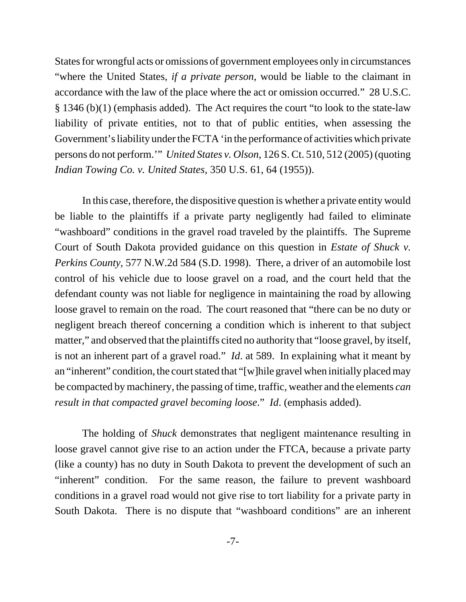States for wrongful acts or omissions of government employees only in circumstances "where the United States, *if a private person*, would be liable to the claimant in accordance with the law of the place where the act or omission occurred." 28 U.S.C. § 1346 (b)(1) (emphasis added). The Act requires the court "to look to the state-law liability of private entities, not to that of public entities, when assessing the Government's liability under the FCTA 'in the performance of activities which private persons do not perform.'" *United States v. Olson*, 126 S. Ct. 510, 512 (2005) (quoting *Indian Towing Co. v. United States*, 350 U.S. 61, 64 (1955)).

In this case, therefore, the dispositive question is whether a private entity would be liable to the plaintiffs if a private party negligently had failed to eliminate "washboard" conditions in the gravel road traveled by the plaintiffs. The Supreme Court of South Dakota provided guidance on this question in *Estate of Shuck v. Perkins County*, 577 N.W.2d 584 (S.D. 1998). There, a driver of an automobile lost control of his vehicle due to loose gravel on a road, and the court held that the defendant county was not liable for negligence in maintaining the road by allowing loose gravel to remain on the road. The court reasoned that "there can be no duty or negligent breach thereof concerning a condition which is inherent to that subject matter," and observed that the plaintiffs cited no authority that "loose gravel, by itself, is not an inherent part of a gravel road." *Id*. at 589. In explaining what it meant by an "inherent" condition, the court stated that "[w]hile gravel when initially placed may be compacted by machinery, the passing of time, traffic, weather and the elements *can result in that compacted gravel becoming loose*." *Id*. (emphasis added).

The holding of *Shuck* demonstrates that negligent maintenance resulting in loose gravel cannot give rise to an action under the FTCA, because a private party (like a county) has no duty in South Dakota to prevent the development of such an "inherent" condition. For the same reason, the failure to prevent washboard conditions in a gravel road would not give rise to tort liability for a private party in South Dakota. There is no dispute that "washboard conditions" are an inherent